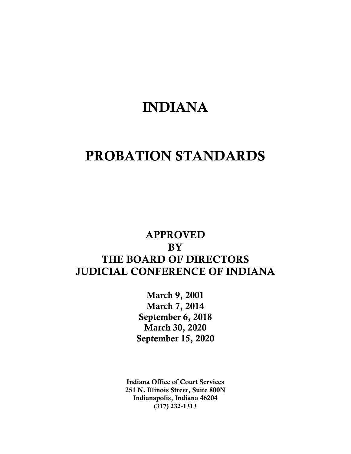# INDIANA

# PROBATION STANDARDS

# APPROVED **BY** THE BOARD OF DIRECTORS JUDICIAL CONFERENCE OF INDIANA

March 9, 2001 March 7, 2014 September 6, 2018 March 30, 2020 September 15, 2020

Indiana Office of Court Services 251 N. Illinois Street, Suite 800N Indianapolis, Indiana 46204 **(317) 232-1313**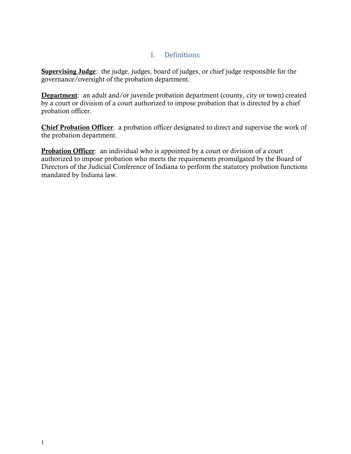# I. Definitions

Supervising Judge: the judge, judges, board of judges, or chief judge responsible for the governance/oversight of the probation department.

Department: an adult and/or juvenile probation department (county, city or town) created by a court or division of a court authorized to impose probation that is directed by a chief probation officer.

Chief Probation Officer: a probation officer designated to direct and supervise the work of the probation department.

**Probation Officer**: an individual who is appointed by a court or division of a court authorized to impose probation who meets the requirements promulgated by the Board of Directors of the Judicial Conference of Indiana to perform the statutory probation functions mandated by Indiana law.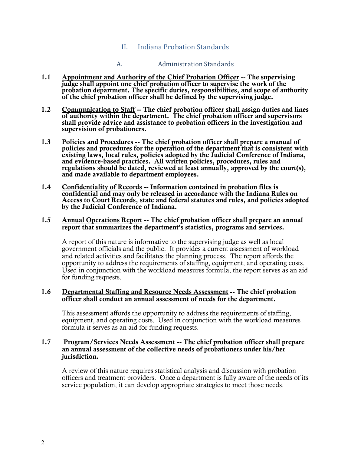## II. Indiana Probation Standards

#### A. Administration Standards

- 1.1 Appointment and Authority of the Chief Probation Officer -- The supervising judge shall appoint one chief probation officer to supervise the work of the probation department. The specific duties, responsibilities, and scope of authority of the chief probation officer shall be defined by the supervising judge.
- 1.2 Communication to Staff -- The chief probation officer shall assign duties and lines of authority within the department. The chief probation officer and supervisors shall provide advice and assistance to probation officers in the investigation and supervision of probationers.
- 1.3 Policies and Procedures -- The chief probation officer shall prepare a manual of policies and procedures for the operation of the department that is consistent with existing laws, local rules, policies adopted by the Judicial Conference of Indiana, and evidence-based practices. All written policies, procedures, rules and regulations should be dated, reviewed at least annually, approved by the court(s), and made available to department employees.
- 1.4 Confidentiality of Records -- Information contained in probation files is confidential and may only be released in accordance with the Indiana Rules on Access to Court Records, state and federal statutes and rules, and policies adopted by the Judicial Conference of Indiana.

#### 1.5 Annual Operations Report -- The chief probation officer shall prepare an annual report that summarizes the department's statistics, programs and services.

A report of this nature is informative to the supervising judge as well as local government officials and the public. It provides a current assessment of workload and related activities and facilitates the planning process. The report affords the opportunity to address the requirements of staffing, equipment, and operating costs. Used in conjunction with the workload measures formula, the report serves as an aid for funding requests.

#### 1.6 Departmental Staffing and Resource Needs Assessment -- The chief probation officer shall conduct an annual assessment of needs for the department.

This assessment affords the opportunity to address the requirements of staffing, equipment, and operating costs. Used in conjunction with the workload measures formula it serves as an aid for funding requests.

#### 1.7 Program/Services Needs Assessment -- The chief probation officer shall prepare an annual assessment of the collective needs of probationers under his/her jurisdiction.

A review of this nature requires statistical analysis and discussion with probation officers and treatment providers. Once a department is fully aware of the needs of its service population, it can develop appropriate strategies to meet those needs.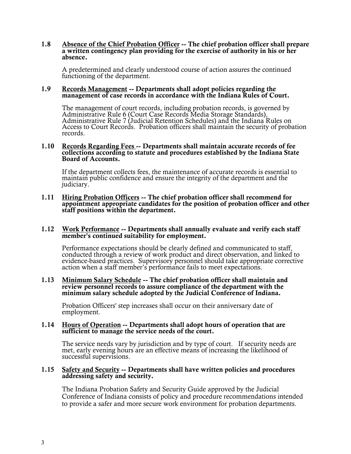#### 1.8 Absence of the Chief Probation Officer -- The chief probation officer shall prepare a written contingency plan providing for the exercise of authority in his or her absence.

A predetermined and clearly understood course of action assures the continued functioning of the department.

#### 1.9 Records Management -- Departments shall adopt policies regarding the management of case records in accordance with the Indiana Rules of Court.

The management of court records, including probation records, is governed by Administrative Rule 6 (Court Case Records Media Storage Standards), Administrative Rule 7 (Judicial Retention Schedules) and the Indiana Rules on<br>Access to Court Records. Probation officers shall maintain the security of probation<br>records.

#### 1.10 Records Regarding Fees -- Departments shall maintain accurate records of fee collections according to statute and procedures established by the Indiana State Board of Accounts.

 If the department collects fees, the maintenance of accurate records is essential to maintain public confidence and ensure the integrity of the department and the judiciary.

#### 1.11 Hiring Probation Officers -- The chief probation officer shall recommend for appointment appropriate candidates for the position of probation officer and other staff positions within the department.

#### 1.12 Work Performance -- Departments shall annually evaluate and verify each staff member's continued suitability for employment.

Performance expectations should be clearly defined and communicated to staff, conducted through a review of work product and direct observation, and linked to evidence-based practices. Supervisory personnel should take appropriate corrective action when a staff member's performance fails to meet expectations.

#### 1.13 Minimum Salary Schedule -- The chief probation officer shall maintain and review personnel records to assure compliance of the department with the minimum salary schedule adopted by the Judicial Conference of Indiana.

Probation Officers' step increases shall occur on their anniversary date of employment.

#### 1.14 Hours of Operation -- Departments shall adopt hours of operation that are sufficient to manage the service needs of the court.

The service needs vary by jurisdiction and by type of court. If security needs are met, early evening hours are an effective means of increasing the likelihood of successful supervisions.

#### 1.15 Safety and Security -- Departments shall have written policies and procedures addressing safety and security.

The Indiana Probation Safety and Security Guide approved by the Judicial Conference of Indiana consists of policy and procedure recommendations intended to provide a safer and more secure work environment for probation departments.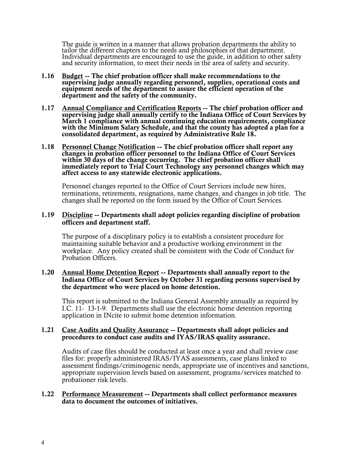The guide is written in a manner that allows probation departments the ability to tailor the different chapters to the needs and philosophies of that department. Individual departments are encouraged to use the guide, in a

- 1.16 Budget -- The chief probation officer shall make recommendations to the supervising judge annually regarding personnel, supplies, operational costs and equipment needs of the department to assure the efficient operation of the department and the safety of the community.
- 1.17 Annual Compliance and Certification Reports -- The chief probation officer and supervising judge shall annually certify to the Indiana Office of Court Services by March 1 compliance with annual continuing education requirements, compliance with the Minimum Salary Schedule, and that the county has adopted a plan for a consolidated department, as required by Administrative Rule 18.
- 1.18 Personnel Change Notification -- The chief probation officer shall report any changes in probation officer personnel to the Indiana Office of Court Services within 30 days of the change occurring. The chief probation officer shall immediately report to Trial Court Technology any personnel changes which may affect access to any statewide electronic applications.

 Personnel changes reported to the Office of Court Services include new hires, terminations, retirements, resignations, name changes, and changes in job title. The changes shall be reported on the form issued by the Office of Court Services.

#### 1.19 Discipline -- Departments shall adopt policies regarding discipline of probation officers and department staff.

 The purpose of a disciplinary policy is to establish a consistent procedure for maintaining suitable behavior and a productive working environment in the workplace. Any policy created shall be consistent with the Code of Conduct for Probation Officers.

#### 1.20 Annual Home Detention Report -- Departments shall annually report to the Indiana Office of Court Services by October 31 regarding persons supervised by the department who were placed on home detention.

This report is submitted to the Indiana General Assembly annually as required by I.C. 11- 13-1-9. Departments shall use the electronic home detention reporting application in INcite to submit home detention information.

#### 1.21 Case Audits and Quality Assurance -- Departments shall adopt policies and procedures to conduct case audits and IYAS/IRAS quality assurance.

Audits of case files should be conducted at least once a year and shall review case files for: properly administered IRAS/IYAS assessments, case plans linked to assessment findings/criminogenic needs, appropriate use of incentives and sanctions, appropriate supervision levels based on assessment, programs/services matched to probationer risk levels.

#### 1.22 Performance Measurement -- Departments shall collect performance measures data to document the outcomes of initiatives.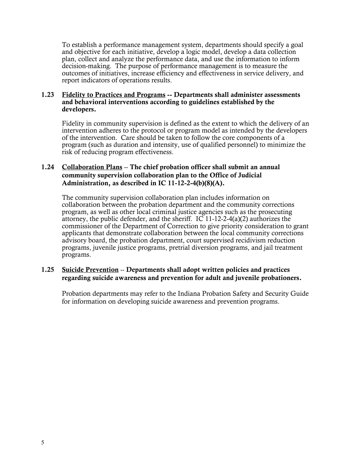To establish a performance management system, departments should specify a goal and objective for each initiative, develop a logic model, develop a data collection plan, collect and analyze the performance data, and use the information to inform decision-making. The purpose of performance management is to measure the outcomes of initiatives, increase efficiency and effectiveness in service delivery, and report indicators of operations results.

#### 1.23 Fidelity to Practices and Programs -- Departments shall administer assessments and behavioral interventions according to guidelines established by the developers.

Fidelity in community supervision is defined as the extent to which the delivery of an intervention adheres to the protocol or program model as intended by the developers of the intervention. Care should be taken to follow the core components of a program (such as duration and intensity, use of qualified personnel) to minimize the risk of reducing program effectiveness.

## 1.24 Collaboration Plans -- The chief probation officer shall submit an annual community supervision collaboration plan to the Office of Judicial Administration, as described in IC 11-12-2-4(b)(8)(A).

The community supervision collaboration plan includes information on collaboration between the probation department and the community corrections program, as well as other local criminal justice agencies such as the prosecuting attorney, the public defender, and the sheriff. IC 11-12-2-4(a)(2) authorizes the commissioner of the Department of Correction to give priority consideration to grant applicants that demonstrate collaboration between the local community corrections advisory board, the probation department, court supervised recidivism reduction programs, juvenile justice programs, pretrial diversion programs, and jail treatment programs.

## 1.25 Suicide Prevention -- Departments shall adopt written policies and practices regarding suicide awareness and prevention for adult and juvenile probationers.

Probation departments may refer to the Indiana Probation Safety and Security Guide for information on developing suicide awareness and prevention programs.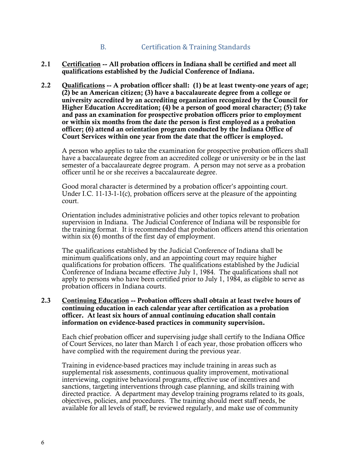# B. Certification & Training Standards

- 2.1 Certification -- All probation officers in Indiana shall be certified and meet all qualifications established by the Judicial Conference of Indiana.
- 2.2 Qualifications -- A probation officer shall: (1) be at least twenty-one years of age; (2) be an American citizen; (3) have a baccalaureate degree from a college or university accredited by an accrediting organization recognized by the Council for Higher Education Accreditation; (4) be a person of good moral character; (5) take and pass an examination for prospective probation officers prior to employment or within six months from the date the person is first employed as a probation officer; (6) attend an orientation program conducted by the Indiana Office of Court Services within one year from the date that the officer is employed.

 A person who applies to take the examination for prospective probation officers shall have a baccalaureate degree from an accredited college or university or be in the last semester of a baccalaureate degree program. A person may not serve as a probation officer until he or she receives a baccalaureate degree.

 Good moral character is determined by a probation officer's appointing court. Under I.C.  $11-13-1-1(c)$ , probation officers serve at the pleasure of the appointing court.

Orientation includes administrative policies and other topics relevant to probation supervision in Indiana. The Judicial Conference of Indiana will be responsible for the training format. It is recommended that probation officers attend this orientation within  $\sin(6)$  months of the first day of employment.

The qualifications established by the Judicial Conference of Indiana shall be minimum qualifications only, and an appointing court may require higher qualifications for probation officers. The qualifications established by the Judicial Conference of Indiana became effective July 1, 1984. The qualifications shall not apply to persons who have been certified prior to July 1, 1984, as eligible to serve as probation officers in Indiana courts.

#### 2.3 Continuing Education -- Probation officers shall obtain at least twelve hours of continuing education in each calendar year after certification as a probation officer. At least six hours of annual continuing education shall contain information on evidence-based practices in community supervision.

Each chief probation officer and supervising judge shall certify to the Indiana Office of Court Services, no later than March 1 of each year, those probation officers who have complied with the requirement during the previous year.

Training in evidence-based practices may include training in areas such as supplemental risk assessments, continuous quality improvement, motivational interviewing, cognitive behavioral programs, effective use of incentives and sanctions, targeting interventions through case planning, and skills training with directed practice. A department may develop training programs related to its goals, objectives, policies, and procedures. The training should meet staff needs, be available for all levels of staff, be reviewed regularly, and make use of community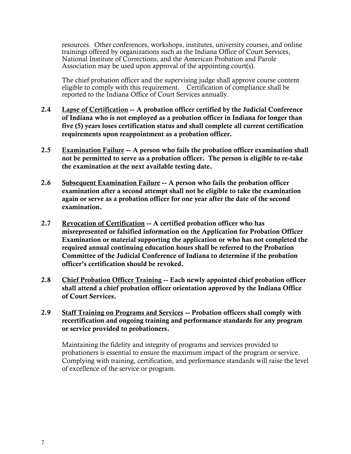resources. Other conferences, workshops, institutes, university courses, and online trainings offered by organizations such as the Indiana Office of Court Services, National Institute of Corrections, and the American Probation and Parole Association may be used upon approval of the appointing court(s).

The chief probation officer and the supervising judge shall approve course content eligible to comply with this requirement. Certification of compliance shall be reported to the Indiana Office of Court Services annually.

- 2.4 Lapse of Certification -- A probation officer certified by the Judicial Conference of Indiana who is not employed as a probation officer in Indiana for longer than five (5) years loses certification status and shall complete all current certification requirements upon reappointment as a probation officer.
- 2.5 Examination Failure -- A person who fails the probation officer examination shall not be permitted to serve as a probation officer. The person is eligible to re-take the examination at the next available testing date.
- 2.6 Subsequent Examination Failure -- A person who fails the probation officer examination after a second attempt shall not be eligible to take the examination again or serve as a probation officer for one year after the date of the second examination.
- 2.7 Revocation of Certification -- A certified probation officer who has misrepresented or falsified information on the Application for Probation Officer Examination or material supporting the application or who has not completed the required annual continuing education hours shall be referred to the Probation Committee of the Judicial Conference of Indiana to determine if the probation officer's certification should be revoked.
- 2.8 Chief Probation Officer Training -- Each newly appointed chief probation officer shall attend a chief probation officer orientation approved by the Indiana Office of Court Services.
- 2.9 Staff Training on Programs and Services -- Probation officers shall comply with recertification and ongoing training and performance standards for any program or service provided to probationers.

 Maintaining the fidelity and integrity of programs and services provided to probationers is essential to ensure the maximum impact of the program or service. Complying with training, certification, and performance standards will raise the level of excellence of the service or program.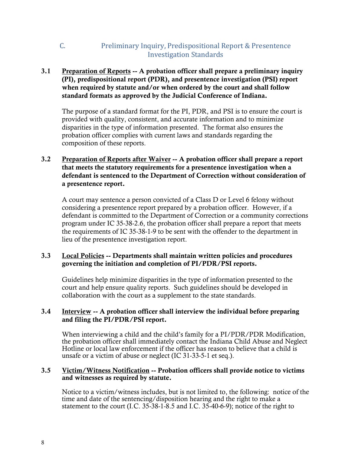# C. Preliminary Inquiry, Predispositional Report & Presentence Investigation Standards

## 3.1 Preparation of Reports -- A probation officer shall prepare a preliminary inquiry (PI), predispositional report (PDR), and presentence investigation (PSI) report when required by statute and/or when ordered by the court and shall follow standard formats as approved by the Judicial Conference of Indiana.

The purpose of a standard format for the PI, PDR, and PSI is to ensure the court is provided with quality, consistent, and accurate information and to minimize disparities in the type of information presented. The format also ensures the probation officer complies with current laws and standards regarding the composition of these reports.

## 3.2 Preparation of Reports after Waiver -- A probation officer shall prepare a report that meets the statutory requirements for a presentence investigation when a defendant is sentenced to the Department of Correction without consideration of a presentence report.

 A court may sentence a person convicted of a Class D or Level 6 felony without considering a presentence report prepared by a probation officer. However, if a defendant is committed to the Department of Correction or a community corrections program under IC 35-38-2.6, the probation officer shall prepare a report that meets the requirements of IC 35-38-1-9 to be sent with the offender to the department in lieu of the presentence investigation report.

## 3.3 Local Policies -- Departments shall maintain written policies and procedures governing the initiation and completion of PI/PDR/PSI reports.

Guidelines help minimize disparities in the type of information presented to the court and help ensure quality reports. Such guidelines should be developed in collaboration with the court as a supplement to the state standards.

## 3.4 Interview -- A probation officer shall interview the individual before preparing and filing the PI/PDR/PSI report.

 When interviewing a child and the child's family for a PI/PDR/PDR Modification, the probation officer shall immediately contact the Indiana Child Abuse and Neglect Hotline or local law enforcement if the officer has reason to believe that a child is unsafe or a victim of abuse or neglect (IC 31-33-5-1 et seq.).

### 3.5 Victim/Witness Notification -- Probation officers shall provide notice to victims and witnesses as required by statute.

Notice to a victim/witness includes, but is not limited to, the following: notice of the time and date of the sentencing/disposition hearing and the right to make a statement to the court (I.C. 35-38-1-8.5 and I.C. 35-40-6-9); notice of the right to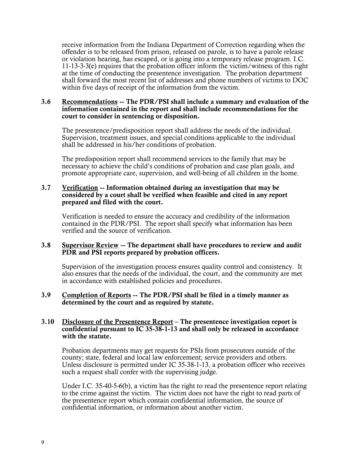receive information from the Indiana Department of Correction regarding when the offender is to be released from prison, released on parole, is to have a parole release or violation hearing, has escaped, or is going into a temporary release program. I.C. 11-13-3-3(e) requires that the probation officer inform the victim/witness of this right at the time of conducting the presentence investigation. The probation department shall forward the most recent list of addresses and phone numbers of victims to DOC within five days of receipt of the information from the victim.

#### 3.6 Recommendations -- The PDR/PSI shall include a summary and evaluation of the information contained in the report and shall include recommendations for the court to consider in sentencing or disposition.

The presentence/predisposition report shall address the needs of the individual. Supervision, treatment issues, and special conditions applicable to the individual shall be addressed in his/her conditions of probation.

The predisposition report shall recommend services to the family that may be necessary to achieve the child's conditions of probation and case plan goals, and promote appropriate care, supervision, and well-being of all children in the home.

#### 3.7 Verification -- Information obtained during an investigation that may be considered by a court shall be verified when feasible and cited in any report prepared and filed with the court.

Verification is needed to ensure the accuracy and credibility of the information contained in the PDR/PSI. The report shall specify what information has been verified and the source of verification.

#### 3.8 Supervisor Review -- The department shall have procedures to review and audit PDR and PSI reports prepared by probation officers.

Supervision of the investigation process ensures quality control and consistency. It also ensures that the needs of the individual, the court, and the community are met in accordance with established policies and procedures.

#### 3.9 Completion of Reports -- The PDR/PSI shall be filed in a timely manner as determined by the court and as required by statute.

#### 3.10 Disclosure of the Presentence Report – The presentence investigation report is confidential pursuant to IC 35-38-1-13 and shall only be released in accordance with the statute.

Probation departments may get requests for PSIs from prosecutors outside of the county; state, federal and local law enforcement; service providers and others. Unless disclosure is permitted under IC 35-38-1-13, a probation officer who receives such a request shall confer with the supervising judge.

Under I.C. 35-40-5-6(b), a victim has the right to read the presentence report relating to the crime against the victim. The victim does not have the right to read parts of the presentence report which contain confidential information, the source of confidential information, or information about another victim.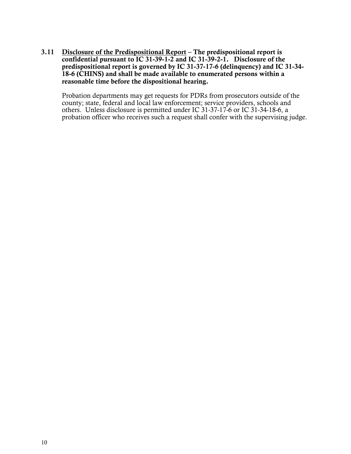3.11 Disclosure of the Predispositional Report – The predispositional report is confidential pursuant to IC 31-39-1-2 and IC 31-39-2-1. Disclosure of the predispositional report is governed by IC 31-37-17-6 (delinquency) and IC 31-34- 18-6 (CHINS) and shall be made available to enumerated persons within a reasonable time before the dispositional hearing.

 Probation departments may get requests for PDRs from prosecutors outside of the county; state, federal and local law enforcement; service providers, schools and others. Unless disclosure is permitted under IC 31-37-17-6 or IC 31-34-18-6, a probation officer who receives such a request shall confer with the supervising judge.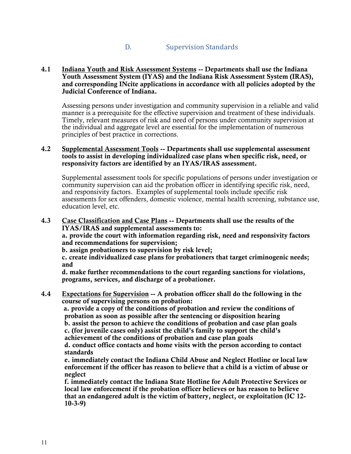# D. Supervision Standards

#### 4.1 Indiana Youth and Risk Assessment Systems -- Departments shall use the Indiana Youth Assessment System (IYAS) and the Indiana Risk Assessment System (IRAS), and corresponding INcite applications in accordance with all policies adopted by the Judicial Conference of Indiana.

 Assessing persons under investigation and community supervision in a reliable and valid manner is a prerequisite for the effective supervision and treatment of these individuals. Timely, relevant measures of risk and need of persons under community supervision at the individual and aggregate level are essential for the implementation of numerous principles of best practice in corrections.

#### 4.2 Supplemental Assessment Tools -- Departments shall use supplemental assessment tools to assist in developing individualized case plans when specific risk, need, or responsivity factors are identified by an IYAS/IRAS assessment.

 Supplemental assessment tools for specific populations of persons under investigation or community supervision can aid the probation officer in identifying specific risk, need, and responsivity factors. Examples of supplemental tools include specific risk assessments for sex offenders, domestic violence, mental health screening, substance use, education level, etc.

#### 4.3 Case Classification and Case Plans -- Departments shall use the results of the IYAS/IRAS and supplemental assessments to:

 a. provide the court with information regarding risk, need and responsivity factors and recommendations for supervision;

b. assign probationers to supervision by risk level;

 c. create individualized case plans for probationers that target criminogenic needs; and

 d. make further recommendations to the court regarding sanctions for violations, programs, services, and discharge of a probationer.

4.4 Expectations for Supervision -- A probation officer shall do the following in the course of supervising persons on probation:

 a. provide a copy of the conditions of probation and review the conditions of probation as soon as possible after the sentencing or disposition hearing

b. assist the person to achieve the conditions of probation and case plan goals c. (for juvenile cases only) assist the child's family to support the child's

achievement of the conditions of probation and case plan goals

d. conduct office contacts and home visits with the person according to contact standards

e. immediately contact the Indiana Child Abuse and Neglect Hotline or local law enforcement if the officer has reason to believe that a child is a victim of abuse or neglect

f. immediately contact the Indiana State Hotline for Adult Protective Services or local law enforcement if the probation officer believes or has reason to believe that an endangered adult is the victim of battery, neglect, or exploitation (IC 12- 10-3-9)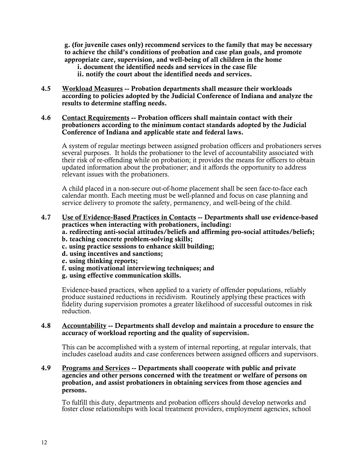g. (for juvenile cases only) recommend services to the family that may be necessary to achieve the child's conditions of probation and case plan goals, and promote appropriate care, supervision, and well-being of all children in the home

i. document the identified needs and services in the case file

ii. notify the court about the identified needs and services.

4.5 Workload Measures -- Probation departments shall measure their workloads according to policies adopted by the Judicial Conference of Indiana and analyze the results to determine staffing needs.

#### 4.6 Contact Requirements -- Probation officers shall maintain contact with their probationers according to the minimum contact standards adopted by the Judicial Conference of Indiana and applicable state and federal laws.

A system of regular meetings between assigned probation officers and probationers serves several purposes. It holds the probationer to the level of accountability associated with their risk of re-offending while on probation; it provides the means for officers to obtain updated information about the probationer; and it affords the opportunity to address relevant issues with the probationers.

A child placed in a non-secure out-of-home placement shall be seen face-to-face each calendar month. Each meeting must be well-planned and focus on case planning and service delivery to promote the safety, permanency, and well-being of the child.

- 4.7 Use of Evidence-Based Practices in Contacts -- Departments shall use evidence-based practices when interacting with probationers, including:
	- a. redirecting anti-social attitudes/beliefs and affirming pro-social attitudes/beliefs;
	- b. teaching concrete problem-solving skills;
	- c. using practice sessions to enhance skill building;
	- d. using incentives and sanctions;
	- e. using thinking reports;
	- f. using motivational interviewing techniques; and
	- g. using effective communication skills.

Evidence-based practices, when applied to a variety of offender populations, reliably produce sustained reductions in recidivism. Routinely applying these practices with fidelity during supervision promotes a greater likelihood of successful outcomes in risk reduction.

#### 4.8 Accountability -- Departments shall develop and maintain a procedure to ensure the accuracy of workload reporting and the quality of supervision.

This can be accomplished with a system of internal reporting, at regular intervals, that includes caseload audits and case conferences between assigned officers and supervisors.

#### 4.9 Programs and Services -- Departments shall cooperate with public and private agencies and other persons concerned with the treatment or welfare of persons on probation, and assist probationers in obtaining services from those agencies and persons.

To fulfill this duty, departments and probation officers should develop networks and foster close relationships with local treatment providers, employment agencies, school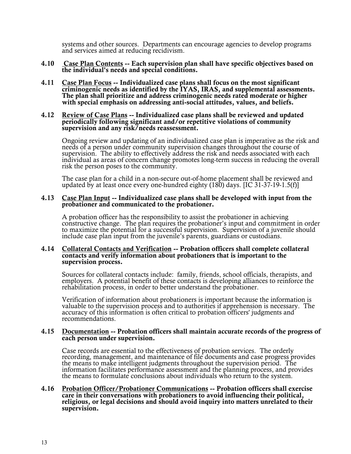systems and other sources. Departments can encourage agencies to develop programs and services aimed at reducing recidivism.

- 4.10 Case Plan Contents -- Each supervision plan shall have specific objectives based on the individual's needs and special conditions.
- 4.11 Case Plan Focus -- Individualized case plans shall focus on the most significant criminogenic needs as identified by the IYAS, IRAS, and supplemental assessments. The plan shall prioritize and address criminogenic needs rated moderate or higher with special emphasis on addressing anti-social attitudes, values, and beliefs.

#### 4.12 Review of Case Plans -- Individualized case plans shall be reviewed and updated periodically following significant and/or repetitive violations of community supervision and any risk/needs reassessment.

Ongoing review and updating of an individualized case plan is imperative as the risk and<br>needs of a person under community supervision changes throughout the course of<br>supervision. The ability to effectively address the ri individual as areas of concern change promotes long-term success in reducing the overall risk the person poses to the community.

The case plan for a child in a non-secure out-of-home placement shall be reviewed and updated by at least once every one-hundred eighty (180) days. [IC 31-37-19-1.5(f)]

#### 4.13 Case Plan Input -- Individualized case plans shall be developed with input from the probationer and communicated to the probationer.

A probation officer has the responsibility to assist the probationer in achieving<br>constructive change. The plan requires the probationer's input and commitment in order<br>to maximize the potential for a successful supervisio

#### 4.14 Collateral Contacts and Verification -- Probation officers shall complete collateral contacts and verify information about probationers that is important to the supervision process.

Sources for collateral contacts include: family, friends, school officials, therapists, and employers. A potential benefit of these contacts is developing alliances to reinforce the rehabilitation process, in order to bett

Verification of information about probationers is important because the information is valuable to the supervision process and to authorities if apprehension is necessary. The accuracy of this information is often critical

#### 4.15 Documentation -- Probation officers shall maintain accurate records of the progress of each person under supervision.

Case records are essential to the effectiveness of probation services. The orderly recording, management, and maintenance of file documents and case progress provides the means to make intelligent judgments throughout the

4.16 Probation Officer/Probationer Communications -- Probation officers shall exercise care in their conversations with probationers to avoid influencing their political, religious, or legal decisions and should avoid inquiry into matters unrelated to their supervision.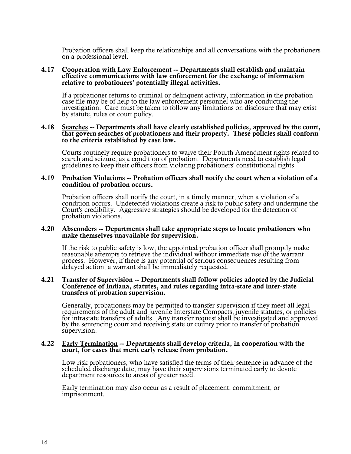Probation officers shall keep the relationships and all conversations with the probationers on a professional level.

#### 4.17 Cooperation with Law Enforcement -- Departments shall establish and maintain effective communications with law enforcement for the exchange of information relative to probationers' potentially illegal activities.

If a probationer returns to criminal or delinquent activity, information in the probation case file may be of help to the law enforcement personnel who are conducting the investigation. Care must be taken to follow any lim

#### 4.18 Searches -- Departments shall have clearly established policies, approved by the court, that govern searches of probationers and their property. These policies shall conform to the criteria established by case law.

Courts routinely require probationers to waive their Fourth Amendment rights related to search and seizure, as a condition of probation. Departments need to establish legal guidelines to keep their officers from violating

#### 4.19 Probation Violations -- Probation officers shall notify the court when a violation of a condition of probation occurs.

Probation officers shall notify the court, in a timely manner, when a violation of a<br>condition occurs. Undetected violations create a risk to public safety and undermine the<br>Court's credibility. Aggressive strategies shoul probation violations.

#### 4.20 Absconders -- Departments shall take appropriate steps to locate probationers who make themselves unavailable for supervision.

If the risk to public safety is low, the appointed probation officer shall promptly make reasonable attempts to retrieve the individual without immediate use of the warrant process. However, if there is any potential of serious consequences resulting from delayed action, a warrant shall be immediately requested.

#### 4.21 Transfer of Supervision -- Departments shall follow policies adopted by the Judicial Conference of Indiana, statutes, and rules regarding intra-state and inter-state transfers of probation supervision.

Generally, probationers may be permitted to transfer supervision if they meet all legal requirements of the adult and juvenile Interstate Compacts, juvenile statutes, or policies for intrastate transfers of adults. Any tra

#### 4.22 Early Termination -- Departments shall develop criteria, in cooperation with the court, for cases that merit early release from probation.

Low risk probationers, who have satisfied the terms of their sentence in advance of the scheduled discharge date, may have their supervisions terminated early to devote department resources to areas of greater need.

Early termination may also occur as a result of placement, commitment, or imprisonment.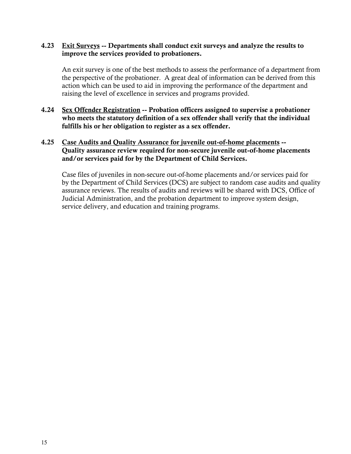### 4.23 Exit Surveys -- Departments shall conduct exit surveys and analyze the results to improve the services provided to probationers.

 An exit survey is one of the best methods to assess the performance of a department from the perspective of the probationer. A great deal of information can be derived from this action which can be used to aid in improving the performance of the department and raising the level of excellence in services and programs provided.

4.24 Sex Offender Registration -- Probation officers assigned to supervise a probationer who meets the statutory definition of a sex offender shall verify that the individual fulfills his or her obligation to register as a sex offender.

## 4.25 Case Audits and Quality Assurance for juvenile out-of-home placements -- Quality assurance review required for non-secure juvenile out-of-home placements and/or services paid for by the Department of Child Services.

Case files of juveniles in non-secure out-of-home placements and/or services paid for by the Department of Child Services (DCS) are subject to random case audits and quality assurance reviews. The results of audits and reviews will be shared with DCS, Office of Judicial Administration, and the probation department to improve system design, service delivery, and education and training programs.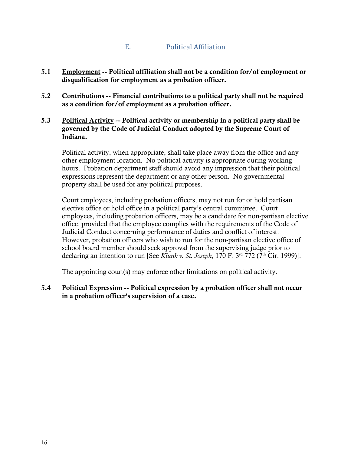# E. Political Affiliation

- 5.1 Employment -- Political affiliation shall not be a condition for/of employment or disqualification for employment as a probation officer.
- 5.2 Contributions -- Financial contributions to a political party shall not be required as a condition for/of employment as a probation officer.
- 5.3 Political Activity -- Political activity or membership in a political party shall be governed by the Code of Judicial Conduct adopted by the Supreme Court of Indiana.

Political activity, when appropriate, shall take place away from the office and any other employment location. No political activity is appropriate during working hours. Probation department staff should avoid any impression that their political expressions represent the department or any other person. No governmental property shall be used for any political purposes.

Court employees, including probation officers, may not run for or hold partisan elective office or hold office in a political party's central committee. Court employees, including probation officers, may be a candidate for non-partisan elective office, provided that the employee complies with the requirements of the Code of Judicial Conduct concerning performance of duties and conflict of interest. However, probation officers who wish to run for the non-partisan elective office of school board member should seek approval from the supervising judge prior to declaring an intention to run [See *Klunk v. St. Joseph*, 170 F. 3<sup>rd</sup> 772 (7<sup>th</sup> Cir. 1999)].

The appointing court(s) may enforce other limitations on political activity.

5.4 Political Expression -- Political expression by a probation officer shall not occur in a probation officer's supervision of a case.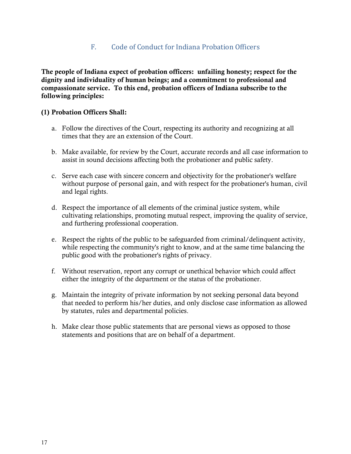# F. Code of Conduct for Indiana Probation Officers

The people of Indiana expect of probation officers: unfailing honesty; respect for the dignity and individuality of human beings; and a commitment to professional and compassionate service. To this end, probation officers of Indiana subscribe to the following principles:

## (1) Probation Officers Shall:

- a. Follow the directives of the Court, respecting its authority and recognizing at all times that they are an extension of the Court.
- b. Make available, for review by the Court, accurate records and all case information to assist in sound decisions affecting both the probationer and public safety.
- c. Serve each case with sincere concern and objectivity for the probationer's welfare without purpose of personal gain, and with respect for the probationer's human, civil and legal rights.
- d. Respect the importance of all elements of the criminal justice system, while cultivating relationships, promoting mutual respect, improving the quality of service, and furthering professional cooperation.
- e. Respect the rights of the public to be safeguarded from criminal/delinquent activity, while respecting the community's right to know, and at the same time balancing the public good with the probationer's rights of privacy.
- f. Without reservation, report any corrupt or unethical behavior which could affect either the integrity of the department or the status of the probationer.
- g. Maintain the integrity of private information by not seeking personal data beyond that needed to perform his/her duties, and only disclose case information as allowed by statutes, rules and departmental policies.
- h. Make clear those public statements that are personal views as opposed to those statements and positions that are on behalf of a department.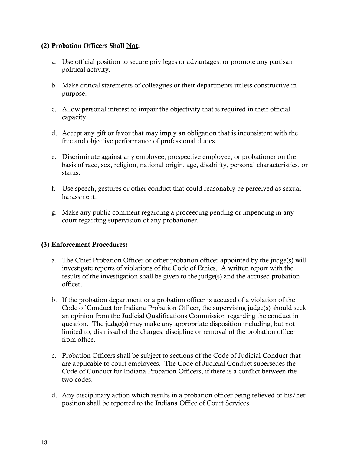## (2) Probation Officers Shall Not:

- a. Use official position to secure privileges or advantages, or promote any partisan political activity.
- b. Make critical statements of colleagues or their departments unless constructive in purpose.
- c. Allow personal interest to impair the objectivity that is required in their official capacity.
- d. Accept any gift or favor that may imply an obligation that is inconsistent with the free and objective performance of professional duties.
- e. Discriminate against any employee, prospective employee, or probationer on the basis of race, sex, religion, national origin, age, disability, personal characteristics, or status.
- f. Use speech, gestures or other conduct that could reasonably be perceived as sexual harassment.
- g. Make any public comment regarding a proceeding pending or impending in any court regarding supervision of any probationer.

# (3) Enforcement Procedures:

- a. The Chief Probation Officer or other probation officer appointed by the judge(s) will investigate reports of violations of the Code of Ethics. A written report with the results of the investigation shall be given to the judge(s) and the accused probation officer.
- b. If the probation department or a probation officer is accused of a violation of the Code of Conduct for Indiana Probation Officer, the supervising judge(s) should seek an opinion from the Judicial Qualifications Commission regarding the conduct in question. The judge(s) may make any appropriate disposition including, but not limited to, dismissal of the charges, discipline or removal of the probation officer from office.
- c. Probation Officers shall be subject to sections of the Code of Judicial Conduct that are applicable to court employees. The Code of Judicial Conduct supersedes the Code of Conduct for Indiana Probation Officers, if there is a conflict between the two codes.
- d. Any disciplinary action which results in a probation officer being relieved of his/her position shall be reported to the Indiana Office of Court Services.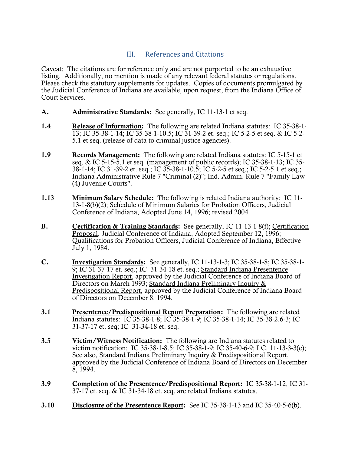# III. References and Citations

Caveat: The citations are for reference only and are not purported to be an exhaustive listing. Additionally, no mention is made of any relevant federal statutes or regulations. Please check the statutory supplements for updates. Copies of documents promulgated by the Judicial Conference of Indiana are available, upon request, from the Indiana Office of Court Services.

- A. Administrative Standards: See generally, IC 11-13-1 et seq.
- 1.4 Release of Information: The following are related Indiana statutes: IC 35-38-1- 13; IC 35-38-1-14; IC 35-38-1-10.5; IC 31-39-2 et. seq.; IC 5-2-5 et seq. & IC 5-2- 5.1 et seq. (release of data to criminal justice agencies).
- 1.9 Records Management: The following are related Indiana statutes: IC 5-15-1 et seq. & IC 5-15-5.1 et seq. (management of public records); IC 35-38-1-13; IC 35- 38-1-14; IC 31-39-2 et. seq.; IC 35-38-1-10.5; IC 5-2-5 et seq.; IC 5-2-5.1 et seq.; Indiana Administrative Rule 7 "Criminal (2)"; Ind. Admin. Rule 7 "Family Law (4) Juvenile Courts".
- 1.13 Minimum Salary Schedule: The following is related Indiana authority: IC 11- 13-1-8(b)(2); Schedule of Minimum Salaries for Probation Officers, Judicial Conference of Indiana, Adopted June 14, 1996; revised 2004.
- B. Certification & Training Standards: See generally, IC 11-13-1-8(f); Certification Proposal, Judicial Conference of Indiana, Adopted September 12, 1996; Qualifications for Probation Officers, Judicial Conference of Indiana, Effective July 1, 1984.
- C. Investigation Standards: See generally, IC 11-13-1-3; IC 35-38-1-8; IC 35-38-1- 9; IC 31-37-17 et. seq.; IC 31-34-18 et. seq.; Standard Indiana Presentence Investigation Report, approved by the Judicial Conference of Indiana Board of Directors on March 1993; Standard Indiana Preliminary Inquiry & Predispositional Report, approved by the Judicial Conference of Indiana Board of Directors on December 8, 1994.
- 3.1 Presentence/Predispositional Report Preparation: The following are related Indiana statutes: IC 35-38-1-8; IC 35-38-1-9; IC 35-38-1-14; IC 35-38-2.6-3; IC 31-37-17 et. seq; IC 31-34-18 et. seq.
- 3.5 Victim/Witness Notification: The following are Indiana statutes related to victim notification: IC 35-38-1-8.5; IC 35-38-1-9; IC 35-40-6-9; I.C. 11-13-3-3(e); See also, Standard Indiana Preliminary Inquiry & Predispositional Report, approved by the Judicial Conference of Indiana Board of Directors on December 8, 1994.
- 3.9 Completion of the Presentence/Predispositional Report: IC 35-38-1-12, IC 31- 37-17 et. seq. & IC 31-34-18 et. seq. are related Indiana statutes.
- 3.10 Disclosure of the Presentence Report: See IC 35-38-1-13 and IC 35-40-5-6(b).